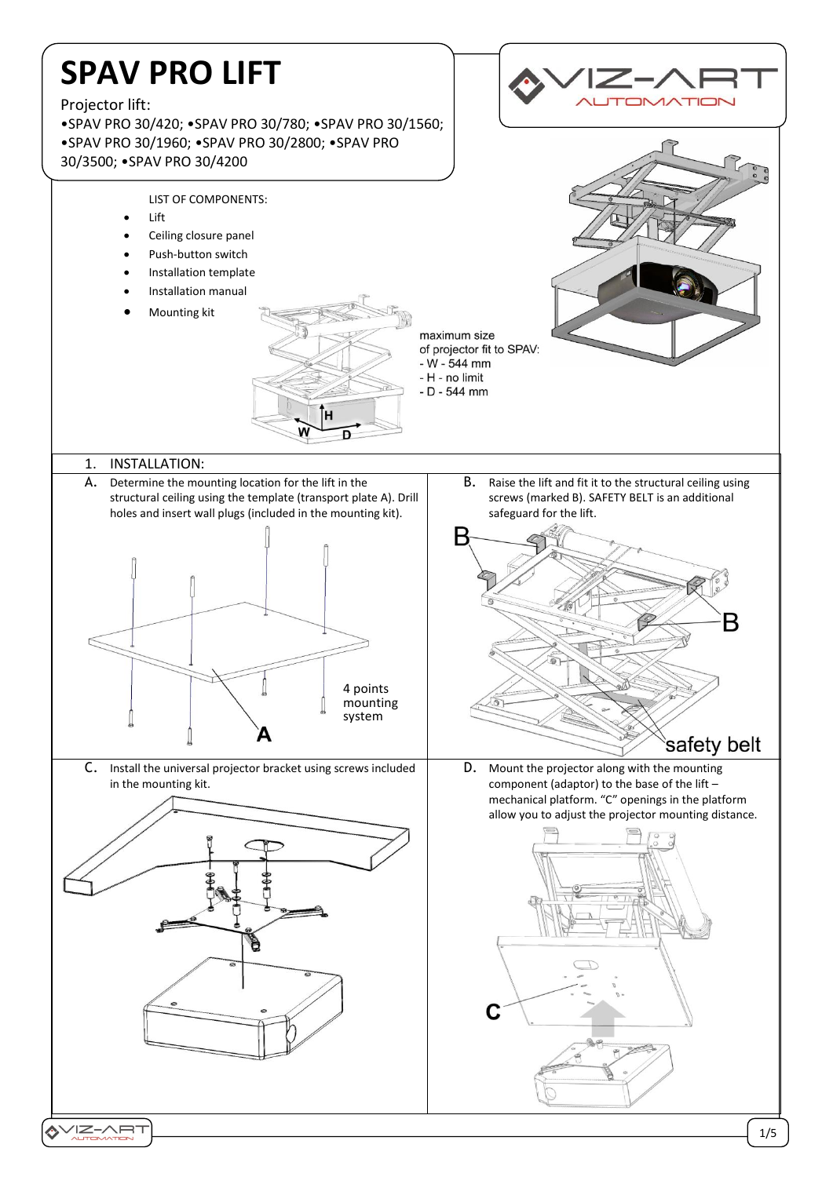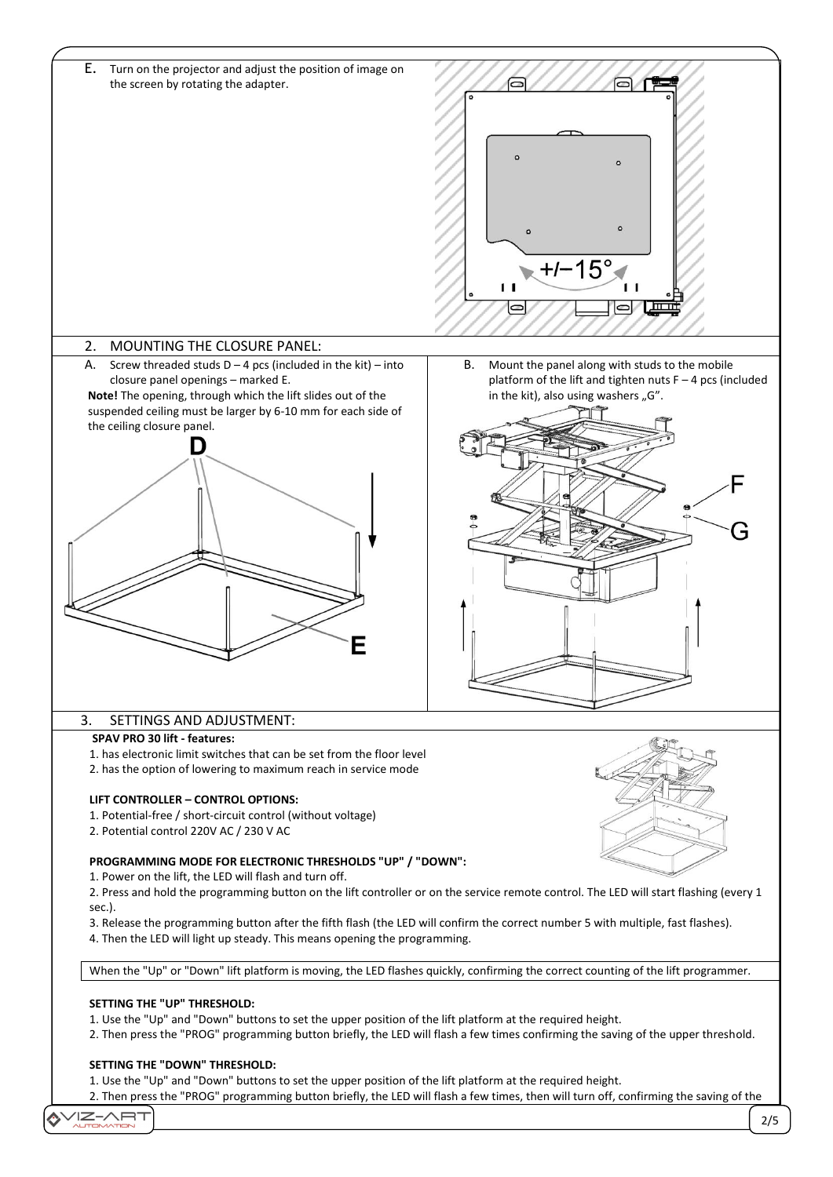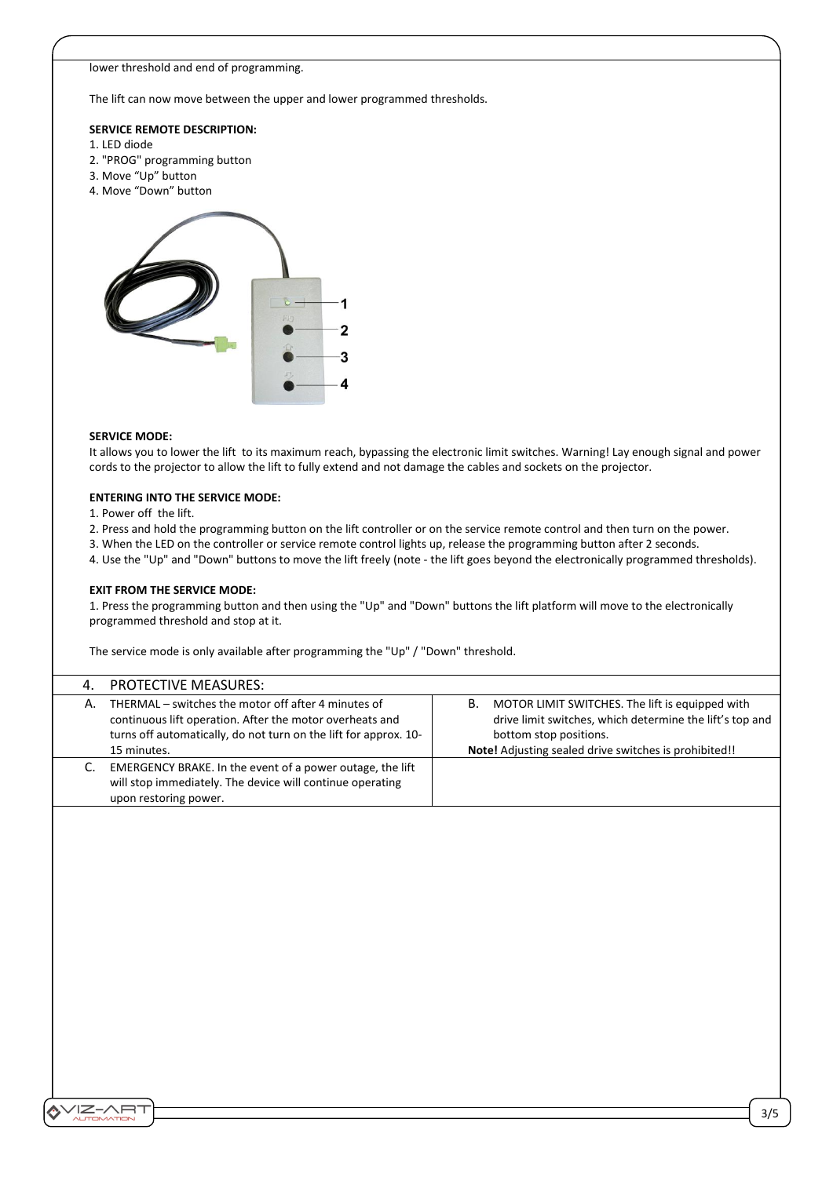# lower threshold and end of programming.

The lift can now move between the upper and lower programmed thresholds.

### **SERVICE REMOTE DESCRIPTION:**

- 1. LED diode
- 2. "PROG" programming button
- 3. Move "Up" button
- 4. Move "Down" button



#### **SERVICE MODE:**

It allows you to lower the lift to its maximum reach, bypassing the electronic limit switches. Warning! Lay enough signal and power cords to the projector to allow the lift to fully extend and not damage the cables and sockets on the projector.

# **ENTERING INTO THE SERVICE MODE:**

1. Power off the lift.

- 2. Press and hold the programming button on the lift controller or on the service remote control and then turn on the power.
- 3. When the LED on the controller or service remote control lights up, release the programming button after 2 seconds.
- 4. Use the "Up" and "Down" buttons to move the lift freely (note the lift goes beyond the electronically programmed thresholds).

### **EXIT FROM THE SERVICE MODE:**

1. Press the programming button and then using the "Up" and "Down" buttons the lift platform will move to the electronically programmed threshold and stop at it.

The service mode is only available after programming the "Up" / "Down" threshold.

|    | <b>PROTECTIVE MEASURES:</b>                                                                                                                                                                        |                                                                                                                                                                                                   |
|----|----------------------------------------------------------------------------------------------------------------------------------------------------------------------------------------------------|---------------------------------------------------------------------------------------------------------------------------------------------------------------------------------------------------|
| А. | THERMAL – switches the motor off after 4 minutes of<br>continuous lift operation. After the motor overheats and<br>turns off automatically, do not turn on the lift for approx. 10-<br>15 minutes. | B. MOTOR LIMIT SWITCHES. The lift is equipped with<br>drive limit switches, which determine the lift's top and<br>bottom stop positions.<br>Note! Adjusting sealed drive switches is prohibited!! |
|    | EMERGENCY BRAKE. In the event of a power outage, the lift<br>will stop immediately. The device will continue operating<br>upon restoring power.                                                    |                                                                                                                                                                                                   |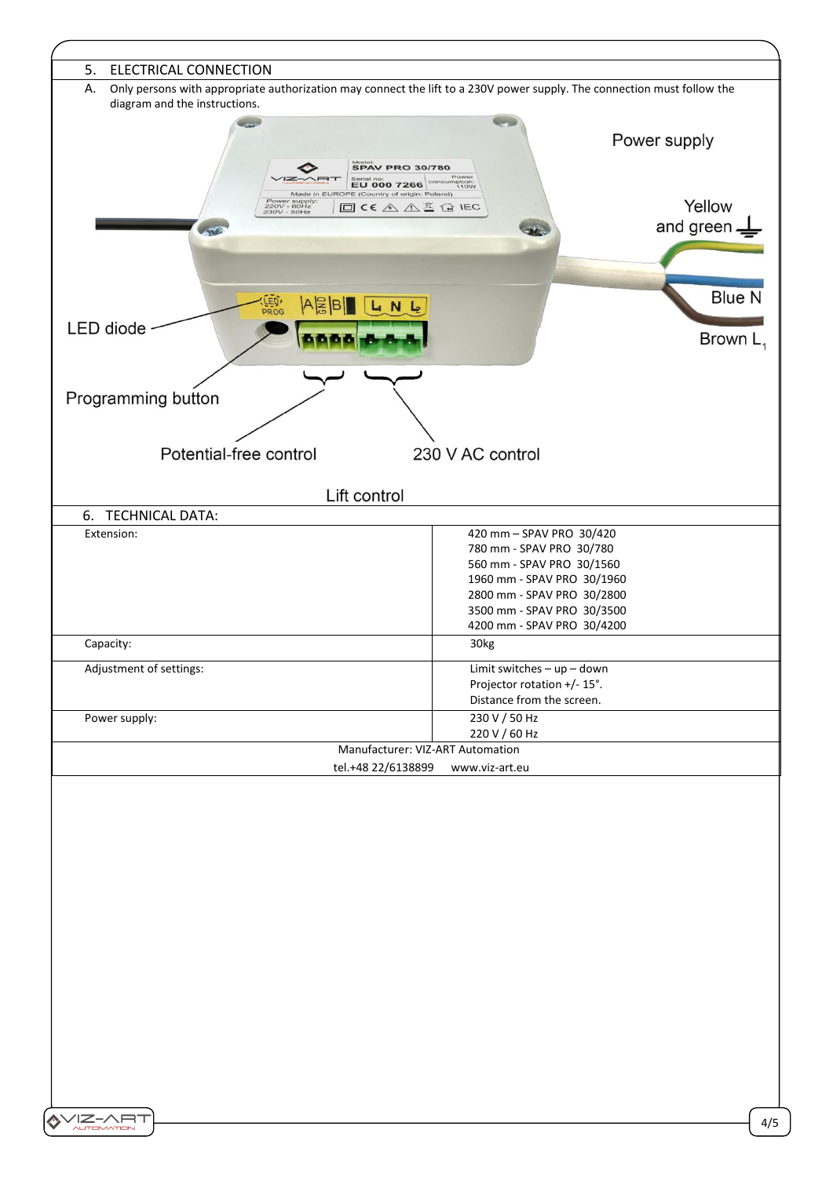| 5.<br><b>ELECTRICAL CONNECTION</b>                                                                                            |                                                               |  |  |
|-------------------------------------------------------------------------------------------------------------------------------|---------------------------------------------------------------|--|--|
| Only persons with appropriate authorization may connect the lift to a 230V power supply. The connection must follow the<br>Α. |                                                               |  |  |
| diagram and the instructions.                                                                                                 |                                                               |  |  |
|                                                                                                                               |                                                               |  |  |
|                                                                                                                               | Power supply                                                  |  |  |
| Model<br><b>SPAV PRO 30/780</b>                                                                                               |                                                               |  |  |
| Serial no:<br>EU 000 7266 Consumption:<br>Made in EUROPE (Country of origin: Poland)                                          |                                                               |  |  |
| Power supply:<br><b>回CE A A 区 企 IEC</b><br>220V - 60Hz<br>230V - 50Hz                                                         | Yellow                                                        |  |  |
| <b>ANS</b>                                                                                                                    | and green<br>$\mathcal{M}_{\mathbb{C}}$                       |  |  |
|                                                                                                                               |                                                               |  |  |
|                                                                                                                               |                                                               |  |  |
|                                                                                                                               |                                                               |  |  |
| LED <sup>,</sup><br>PROG<br><b>NSBI</b><br>$L_{1}N_{2}$                                                                       | <b>Blue N</b>                                                 |  |  |
| LED diode                                                                                                                     |                                                               |  |  |
|                                                                                                                               | Brown $L_1$                                                   |  |  |
|                                                                                                                               |                                                               |  |  |
|                                                                                                                               |                                                               |  |  |
| Programming button                                                                                                            |                                                               |  |  |
|                                                                                                                               |                                                               |  |  |
|                                                                                                                               |                                                               |  |  |
| Potential-free control                                                                                                        | 230 V AC control                                              |  |  |
|                                                                                                                               |                                                               |  |  |
| Lift control                                                                                                                  |                                                               |  |  |
| 6. TECHNICAL DATA:                                                                                                            |                                                               |  |  |
| Extension:                                                                                                                    | 420 mm - SPAV PRO 30/420<br>780 mm - SPAV PRO 30/780          |  |  |
|                                                                                                                               | 560 mm - SPAV PRO 30/1560                                     |  |  |
|                                                                                                                               | 1960 mm - SPAV PRO 30/1960                                    |  |  |
|                                                                                                                               | 2800 mm - SPAV PRO 30/2800                                    |  |  |
|                                                                                                                               | 3500 mm - SPAV PRO 30/3500<br>4200 mm - SPAV PRO 30/4200      |  |  |
| Capacity:                                                                                                                     | 30kg                                                          |  |  |
|                                                                                                                               |                                                               |  |  |
| Adjustment of settings:                                                                                                       | Limit switches $-$ up $-$ down<br>Projector rotation +/- 15°. |  |  |
|                                                                                                                               | Distance from the screen.                                     |  |  |
| Power supply:                                                                                                                 | 230 V / 50 Hz                                                 |  |  |
|                                                                                                                               | 220 V / 60 Hz                                                 |  |  |
| Manufacturer: VIZ-ART Automation                                                                                              |                                                               |  |  |
| tel.+48 22/6138899                                                                                                            | www.viz-art.eu                                                |  |  |
|                                                                                                                               |                                                               |  |  |
|                                                                                                                               |                                                               |  |  |
|                                                                                                                               |                                                               |  |  |
|                                                                                                                               |                                                               |  |  |
|                                                                                                                               |                                                               |  |  |
|                                                                                                                               |                                                               |  |  |
|                                                                                                                               |                                                               |  |  |
|                                                                                                                               |                                                               |  |  |
|                                                                                                                               |                                                               |  |  |
|                                                                                                                               |                                                               |  |  |
|                                                                                                                               |                                                               |  |  |
|                                                                                                                               |                                                               |  |  |
|                                                                                                                               |                                                               |  |  |
|                                                                                                                               |                                                               |  |  |
|                                                                                                                               |                                                               |  |  |
|                                                                                                                               |                                                               |  |  |
|                                                                                                                               |                                                               |  |  |
| WIZ-ART                                                                                                                       | 4/5                                                           |  |  |